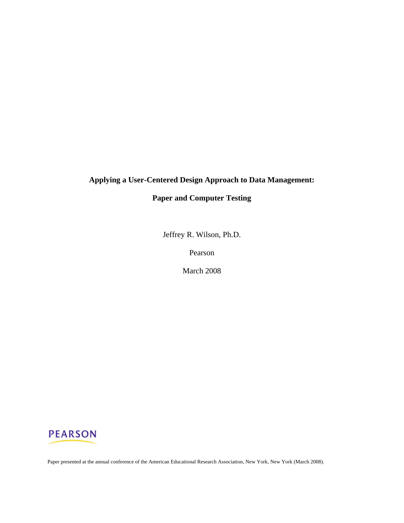# **Applying a User-Centered Design Approach to Data Management:**

## **Paper and Computer Testing**

Jeffrey R. Wilson, Ph.D.

Pearson

March 2008

# **PEARSON**

Paper presented at the annual conference of the American Educational Research Association, New York, New York (March 2008).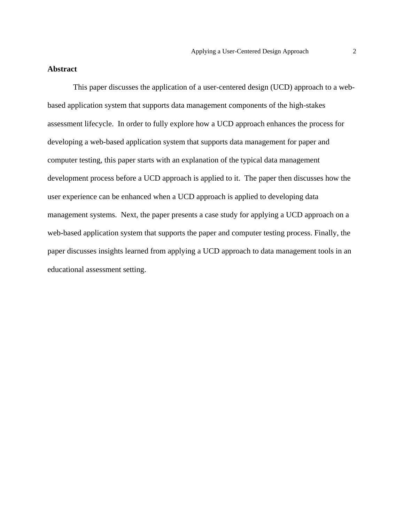#### **Abstract**

 This paper discusses the application of a user-centered design (UCD) approach to a webbased application system that supports data management components of the high-stakes assessment lifecycle. In order to fully explore how a UCD approach enhances the process for developing a web-based application system that supports data management for paper and computer testing, this paper starts with an explanation of the typical data management development process before a UCD approach is applied to it. The paper then discusses how the user experience can be enhanced when a UCD approach is applied to developing data management systems. Next, the paper presents a case study for applying a UCD approach on a web-based application system that supports the paper and computer testing process. Finally, the paper discusses insights learned from applying a UCD approach to data management tools in an educational assessment setting.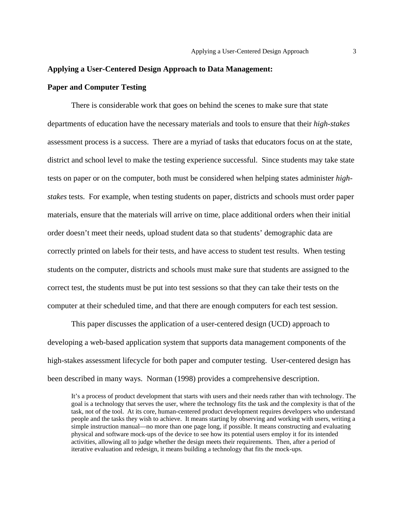#### **Applying a User-Centered Design Approach to Data Management:**

#### **Paper and Computer Testing**

There is considerable work that goes on behind the scenes to make sure that state departments of education have the necessary materials and tools to ensure that their *high-stakes* assessment process is a success. There are a myriad of tasks that educators focus on at the state, district and school level to make the testing experience successful. Since students may take state tests on paper or on the computer, both must be considered when helping states administer *highstakes* tests. For example, when testing students on paper, districts and schools must order paper materials, ensure that the materials will arrive on time, place additional orders when their initial order doesn't meet their needs, upload student data so that students' demographic data are correctly printed on labels for their tests, and have access to student test results. When testing students on the computer, districts and schools must make sure that students are assigned to the correct test, the students must be put into test sessions so that they can take their tests on the computer at their scheduled time, and that there are enough computers for each test session.

This paper discusses the application of a user-centered design (UCD) approach to developing a web-based application system that supports data management components of the high-stakes assessment lifecycle for both paper and computer testing. User-centered design has been described in many ways. Norman (1998) provides a comprehensive description.

It's a process of product development that starts with users and their needs rather than with technology. The goal is a technology that serves the user, where the technology fits the task and the complexity is that of the task, not of the tool. At its core, human-centered product development requires developers who understand people and the tasks they wish to achieve. It means starting by observing and working with users, writing a simple instruction manual—no more than one page long, if possible. It means constructing and evaluating physical and software mock-ups of the device to see how its potential users employ it for its intended activities, allowing all to judge whether the design meets their requirements. Then, after a period of iterative evaluation and redesign, it means building a technology that fits the mock-ups.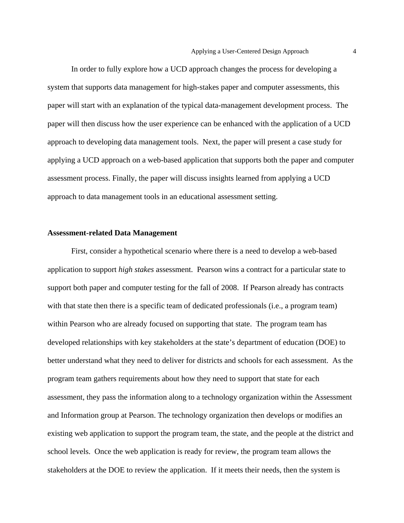In order to fully explore how a UCD approach changes the process for developing a system that supports data management for high-stakes paper and computer assessments, this paper will start with an explanation of the typical data-management development process. The paper will then discuss how the user experience can be enhanced with the application of a UCD approach to developing data management tools. Next, the paper will present a case study for applying a UCD approach on a web-based application that supports both the paper and computer assessment process. Finally, the paper will discuss insights learned from applying a UCD approach to data management tools in an educational assessment setting.

#### **Assessment-related Data Management**

First, consider a hypothetical scenario where there is a need to develop a web-based application to support *high stakes* assessment. Pearson wins a contract for a particular state to support both paper and computer testing for the fall of 2008. If Pearson already has contracts with that state then there is a specific team of dedicated professionals (i.e., a program team) within Pearson who are already focused on supporting that state. The program team has developed relationships with key stakeholders at the state's department of education (DOE) to better understand what they need to deliver for districts and schools for each assessment. As the program team gathers requirements about how they need to support that state for each assessment, they pass the information along to a technology organization within the Assessment and Information group at Pearson. The technology organization then develops or modifies an existing web application to support the program team, the state, and the people at the district and school levels. Once the web application is ready for review, the program team allows the stakeholders at the DOE to review the application. If it meets their needs, then the system is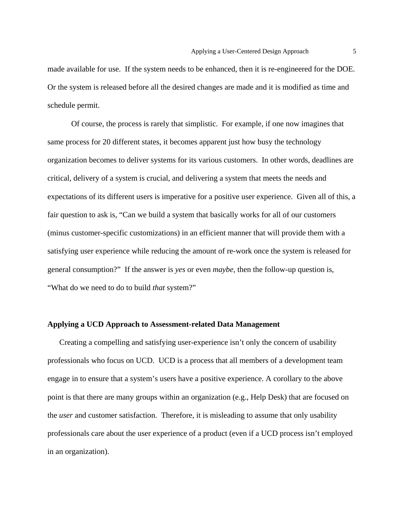made available for use. If the system needs to be enhanced, then it is re-engineered for the DOE. Or the system is released before all the desired changes are made and it is modified as time and schedule permit.

Of course, the process is rarely that simplistic. For example, if one now imagines that same process for 20 different states, it becomes apparent just how busy the technology organization becomes to deliver systems for its various customers. In other words, deadlines are critical, delivery of a system is crucial, and delivering a system that meets the needs and expectations of its different users is imperative for a positive user experience. Given all of this, a fair question to ask is, "Can we build a system that basically works for all of our customers (minus customer-specific customizations) in an efficient manner that will provide them with a satisfying user experience while reducing the amount of re-work once the system is released for general consumption?" If the answer is *yes* or even *maybe*, then the follow-up question is, "What do we need to do to build *that* system?"

#### **Applying a UCD Approach to Assessment-related Data Management**

Creating a compelling and satisfying user-experience isn't only the concern of usability professionals who focus on UCD. UCD is a process that all members of a development team engage in to ensure that a system's users have a positive experience. A corollary to the above point is that there are many groups within an organization (e.g., Help Desk) that are focused on the *user* and customer satisfaction. Therefore, it is misleading to assume that only usability professionals care about the user experience of a product (even if a UCD process isn't employed in an organization).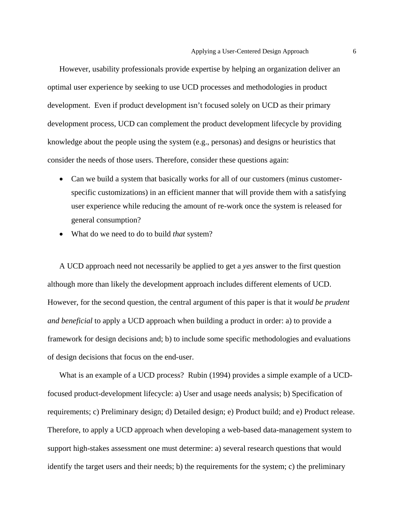However, usability professionals provide expertise by helping an organization deliver an optimal user experience by seeking to use UCD processes and methodologies in product development. Even if product development isn't focused solely on UCD as their primary development process, UCD can complement the product development lifecycle by providing knowledge about the people using the system (e.g., personas) and designs or heuristics that consider the needs of those users. Therefore, consider these questions again:

- Can we build a system that basically works for all of our customers (minus customerspecific customizations) in an efficient manner that will provide them with a satisfying user experience while reducing the amount of re-work once the system is released for general consumption?
- What do we need to do to build *that* system?

A UCD approach need not necessarily be applied to get a *yes* answer to the first question although more than likely the development approach includes different elements of UCD. However, for the second question, the central argument of this paper is that it *would be prudent and beneficial* to apply a UCD approach when building a product in order: a) to provide a framework for design decisions and; b) to include some specific methodologies and evaluations of design decisions that focus on the end-user.

What is an example of a UCD process? Rubin (1994) provides a simple example of a UCDfocused product-development lifecycle: a) User and usage needs analysis; b) Specification of requirements; c) Preliminary design; d) Detailed design; e) Product build; and e) Product release. Therefore, to apply a UCD approach when developing a web-based data-management system to support high-stakes assessment one must determine: a) several research questions that would identify the target users and their needs; b) the requirements for the system; c) the preliminary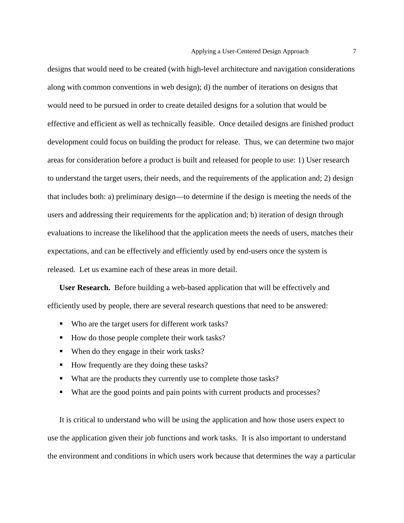designs that would need to be created (with high-level architecture and navigation considerations along with common conventions in web design); d) the number of iterations on designs that would need to be pursued in order to create detailed designs for a solution that would be effective and efficient as well as technically feasible. Once detailed designs are finished product development could focus on building the product for release. Thus, we can determine two major areas for consideration before a product is built and released for people to use: 1) User research to understand the target users, their needs, and the requirements of the application and; 2) design that includes both: a) preliminary design—to determine if the design is meeting the needs of the users and addressing their requirements for the application and; b) iteration of design through evaluations to increase the likelihood that the application meets the needs of users, matches their expectations, and can be effectively and efficiently used by end-users once the system is released. Let us examine each of these areas in more detail.

**User Research.** Before building a web-based application that will be effectively and efficiently used by people, there are several research questions that need to be answered:

- Who are the target users for different work tasks?
- How do those people complete their work tasks?
- When do they engage in their work tasks?
- How frequently are they doing these tasks?
- What are the products they currently use to complete those tasks?
- What are the good points and pain points with current products and processes?

It is critical to understand who will be using the application and how those users expect to use the application given their job functions and work tasks. It is also important to understand the environment and conditions in which users work because that determines the way a particular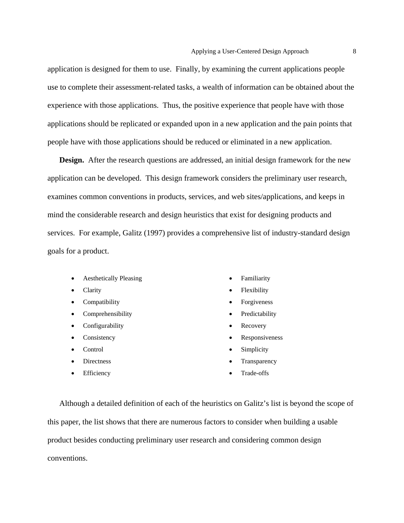application is designed for them to use. Finally, by examining the current applications people use to complete their assessment-related tasks, a wealth of information can be obtained about the experience with those applications. Thus, the positive experience that people have with those applications should be replicated or expanded upon in a new application and the pain points that people have with those applications should be reduced or eliminated in a new application.

**Design.** After the research questions are addressed, an initial design framework for the new application can be developed. This design framework considers the preliminary user research, examines common conventions in products, services, and web sites/applications, and keeps in mind the considerable research and design heuristics that exist for designing products and services. For example, Galitz (1997) provides a comprehensive list of industry-standard design goals for a product.

- Aesthetically Pleasing
- Clarity
- Compatibility
- Comprehensibility
- Configurability
- Consistency
- Control
- Directness
- Efficiency
- **Familiarity**
- Flexibility
- **Forgiveness**
- **Predictability**
- **Recovery**
- **Responsiveness**
- **Simplicity**
- **Transparency**
- Trade-offs

Although a detailed definition of each of the heuristics on Galitz's list is beyond the scope of this paper, the list shows that there are numerous factors to consider when building a usable product besides conducting preliminary user research and considering common design conventions.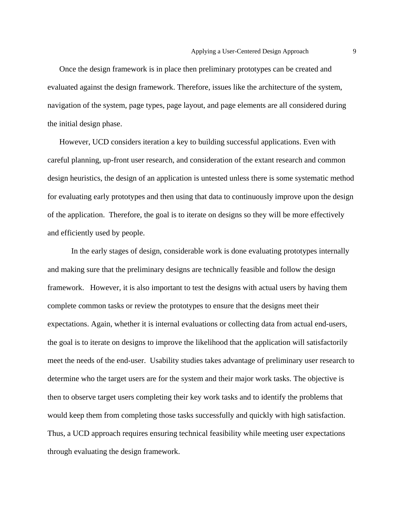Once the design framework is in place then preliminary prototypes can be created and evaluated against the design framework. Therefore, issues like the architecture of the system, navigation of the system, page types, page layout, and page elements are all considered during the initial design phase.

However, UCD considers iteration a key to building successful applications. Even with careful planning, up-front user research, and consideration of the extant research and common design heuristics, the design of an application is untested unless there is some systematic method for evaluating early prototypes and then using that data to continuously improve upon the design of the application. Therefore, the goal is to iterate on designs so they will be more effectively and efficiently used by people.

In the early stages of design, considerable work is done evaluating prototypes internally and making sure that the preliminary designs are technically feasible and follow the design framework. However, it is also important to test the designs with actual users by having them complete common tasks or review the prototypes to ensure that the designs meet their expectations. Again, whether it is internal evaluations or collecting data from actual end-users, the goal is to iterate on designs to improve the likelihood that the application will satisfactorily meet the needs of the end-user. Usability studies takes advantage of preliminary user research to determine who the target users are for the system and their major work tasks. The objective is then to observe target users completing their key work tasks and to identify the problems that would keep them from completing those tasks successfully and quickly with high satisfaction. Thus, a UCD approach requires ensuring technical feasibility while meeting user expectations through evaluating the design framework.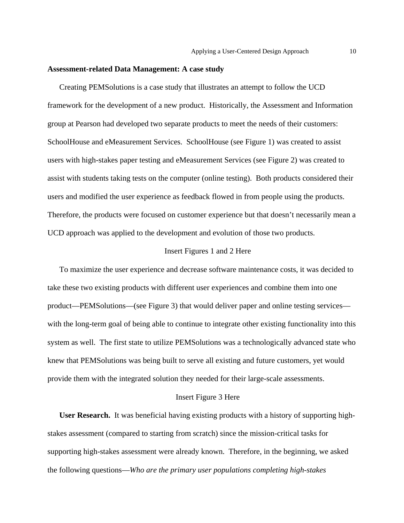#### **Assessment-related Data Management: A case study**

Creating PEMSolutions is a case study that illustrates an attempt to follow the UCD framework for the development of a new product. Historically, the Assessment and Information group at Pearson had developed two separate products to meet the needs of their customers: SchoolHouse and eMeasurement Services. SchoolHouse (see Figure 1) was created to assist users with high-stakes paper testing and eMeasurement Services (see Figure 2) was created to assist with students taking tests on the computer (online testing). Both products considered their users and modified the user experience as feedback flowed in from people using the products. Therefore, the products were focused on customer experience but that doesn't necessarily mean a UCD approach was applied to the development and evolution of those two products.

#### Insert Figures 1 and 2 Here

To maximize the user experience and decrease software maintenance costs, it was decided to take these two existing products with different user experiences and combine them into one product—PEMSolutions—(see Figure 3) that would deliver paper and online testing services with the long-term goal of being able to continue to integrate other existing functionality into this system as well. The first state to utilize PEMSolutions was a technologically advanced state who knew that PEMSolutions was being built to serve all existing and future customers, yet would provide them with the integrated solution they needed for their large-scale assessments.

#### Insert Figure 3 Here

**User Research.** It was beneficial having existing products with a history of supporting highstakes assessment (compared to starting from scratch) since the mission-critical tasks for supporting high-stakes assessment were already known. Therefore, in the beginning, we asked the following questions—*Who are the primary user populations completing high-stakes*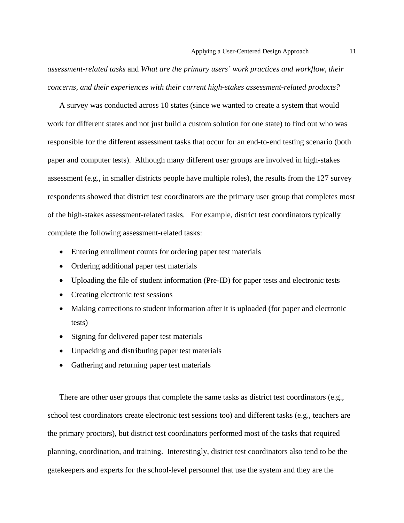*assessment-related tasks* and *What are the primary users' work practices and workflow, their concerns, and their experiences with their current high-stakes assessment-related products?*

A survey was conducted across 10 states (since we wanted to create a system that would work for different states and not just build a custom solution for one state) to find out who was responsible for the different assessment tasks that occur for an end-to-end testing scenario (both paper and computer tests). Although many different user groups are involved in high-stakes assessment (e.g., in smaller districts people have multiple roles), the results from the 127 survey respondents showed that district test coordinators are the primary user group that completes most of the high-stakes assessment-related tasks. For example, district test coordinators typically complete the following assessment-related tasks:

- Entering enrollment counts for ordering paper test materials
- Ordering additional paper test materials
- Uploading the file of student information (Pre-ID) for paper tests and electronic tests
- Creating electronic test sessions
- Making corrections to student information after it is uploaded (for paper and electronic tests)
- Signing for delivered paper test materials
- Unpacking and distributing paper test materials
- Gathering and returning paper test materials

There are other user groups that complete the same tasks as district test coordinators (e.g., school test coordinators create electronic test sessions too) and different tasks (e.g., teachers are the primary proctors), but district test coordinators performed most of the tasks that required planning, coordination, and training. Interestingly, district test coordinators also tend to be the gatekeepers and experts for the school-level personnel that use the system and they are the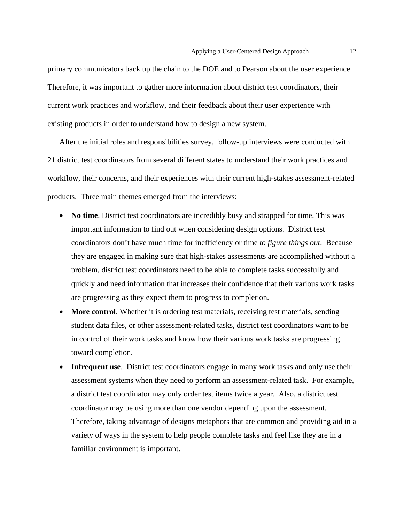primary communicators back up the chain to the DOE and to Pearson about the user experience. Therefore, it was important to gather more information about district test coordinators, their current work practices and workflow, and their feedback about their user experience with existing products in order to understand how to design a new system.

After the initial roles and responsibilities survey, follow-up interviews were conducted with 21 district test coordinators from several different states to understand their work practices and workflow, their concerns, and their experiences with their current high-stakes assessment-related products. Three main themes emerged from the interviews:

- **No time**. District test coordinators are incredibly busy and strapped for time. This was important information to find out when considering design options. District test coordinators don't have much time for inefficiency or time *to figure things out*. Because they are engaged in making sure that high-stakes assessments are accomplished without a problem, district test coordinators need to be able to complete tasks successfully and quickly and need information that increases their confidence that their various work tasks are progressing as they expect them to progress to completion.
- More control. Whether it is ordering test materials, receiving test materials, sending student data files, or other assessment-related tasks, district test coordinators want to be in control of their work tasks and know how their various work tasks are progressing toward completion.
- **Infrequent use**. District test coordinators engage in many work tasks and only use their assessment systems when they need to perform an assessment-related task. For example, a district test coordinator may only order test items twice a year. Also, a district test coordinator may be using more than one vendor depending upon the assessment. Therefore, taking advantage of designs metaphors that are common and providing aid in a variety of ways in the system to help people complete tasks and feel like they are in a familiar environment is important.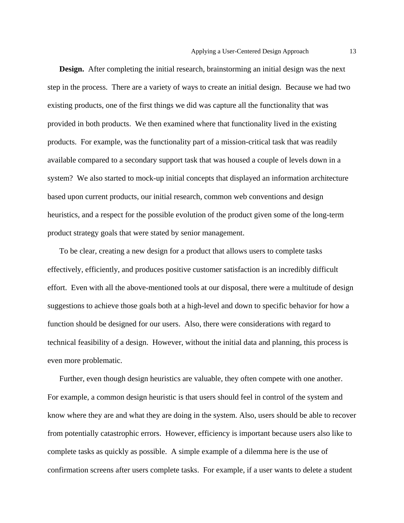**Design.** After completing the initial research, brainstorming an initial design was the next step in the process. There are a variety of ways to create an initial design. Because we had two existing products, one of the first things we did was capture all the functionality that was provided in both products. We then examined where that functionality lived in the existing products. For example, was the functionality part of a mission-critical task that was readily available compared to a secondary support task that was housed a couple of levels down in a system? We also started to mock-up initial concepts that displayed an information architecture based upon current products, our initial research, common web conventions and design heuristics, and a respect for the possible evolution of the product given some of the long-term product strategy goals that were stated by senior management.

To be clear, creating a new design for a product that allows users to complete tasks effectively, efficiently, and produces positive customer satisfaction is an incredibly difficult effort. Even with all the above-mentioned tools at our disposal, there were a multitude of design suggestions to achieve those goals both at a high-level and down to specific behavior for how a function should be designed for our users. Also, there were considerations with regard to technical feasibility of a design. However, without the initial data and planning, this process is even more problematic.

Further, even though design heuristics are valuable, they often compete with one another. For example, a common design heuristic is that users should feel in control of the system and know where they are and what they are doing in the system. Also, users should be able to recover from potentially catastrophic errors. However, efficiency is important because users also like to complete tasks as quickly as possible. A simple example of a dilemma here is the use of confirmation screens after users complete tasks. For example, if a user wants to delete a student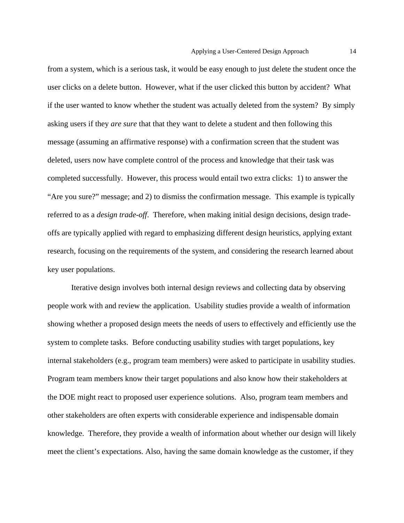from a system, which is a serious task, it would be easy enough to just delete the student once the user clicks on a delete button. However, what if the user clicked this button by accident? What if the user wanted to know whether the student was actually deleted from the system? By simply asking users if they *are sure* that that they want to delete a student and then following this message (assuming an affirmative response) with a confirmation screen that the student was deleted, users now have complete control of the process and knowledge that their task was completed successfully. However, this process would entail two extra clicks: 1) to answer the "Are you sure?" message; and 2) to dismiss the confirmation message. This example is typically referred to as a *design trade-off*. Therefore, when making initial design decisions, design tradeoffs are typically applied with regard to emphasizing different design heuristics, applying extant research, focusing on the requirements of the system, and considering the research learned about key user populations.

Iterative design involves both internal design reviews and collecting data by observing people work with and review the application. Usability studies provide a wealth of information showing whether a proposed design meets the needs of users to effectively and efficiently use the system to complete tasks. Before conducting usability studies with target populations, key internal stakeholders (e.g., program team members) were asked to participate in usability studies. Program team members know their target populations and also know how their stakeholders at the DOE might react to proposed user experience solutions. Also, program team members and other stakeholders are often experts with considerable experience and indispensable domain knowledge. Therefore, they provide a wealth of information about whether our design will likely meet the client's expectations. Also, having the same domain knowledge as the customer, if they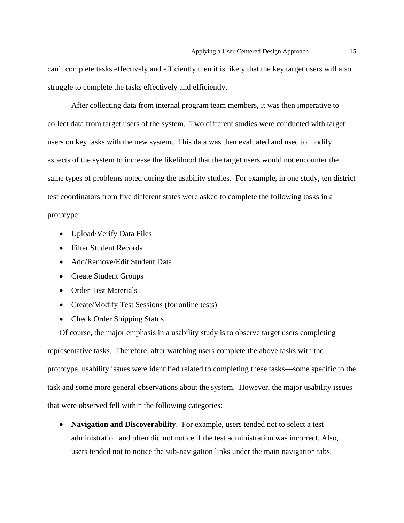can't complete tasks effectively and efficiently then it is likely that the key target users will also struggle to complete the tasks effectively and efficiently.

 After collecting data from internal program team members, it was then imperative to collect data from target users of the system. Two different studies were conducted with target users on key tasks with the new system. This data was then evaluated and used to modify aspects of the system to increase the likelihood that the target users would not encounter the same types of problems noted during the usability studies. For example, in one study, ten district test coordinators from five different states were asked to complete the following tasks in a prototype:

- Upload/Verify Data Files
- Filter Student Records
- Add/Remove/Edit Student Data
- Create Student Groups
- Order Test Materials
- Create/Modify Test Sessions (for online tests)
- Check Order Shipping Status

Of course, the major emphasis in a usability study is to observe target users completing representative tasks. Therefore, after watching users complete the above tasks with the prototype, usability issues were identified related to completing these tasks—some specific to the task and some more general observations about the system. However, the major usability issues that were observed fell within the following categories:

• **Navigation and Discoverability**. For example, users tended not to select a test administration and often did not notice if the test administration was incorrect. Also, users tended not to notice the sub-navigation links under the main navigation tabs.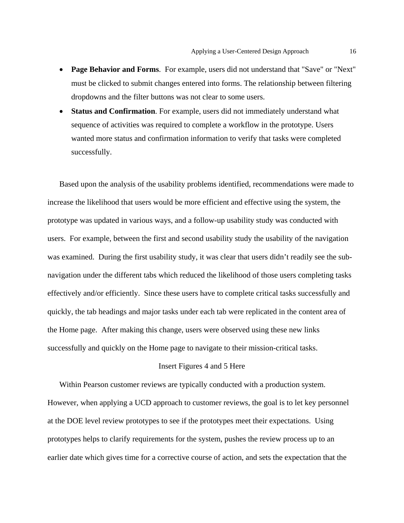- **Page Behavior and Forms**. For example, users did not understand that "Save" or "Next" must be clicked to submit changes entered into forms. The relationship between filtering dropdowns and the filter buttons was not clear to some users.
- **Status and Confirmation**. For example, users did not immediately understand what sequence of activities was required to complete a workflow in the prototype. Users wanted more status and confirmation information to verify that tasks were completed successfully.

Based upon the analysis of the usability problems identified, recommendations were made to increase the likelihood that users would be more efficient and effective using the system, the prototype was updated in various ways, and a follow-up usability study was conducted with users. For example, between the first and second usability study the usability of the navigation was examined. During the first usability study, it was clear that users didn't readily see the subnavigation under the different tabs which reduced the likelihood of those users completing tasks effectively and/or efficiently. Since these users have to complete critical tasks successfully and quickly, the tab headings and major tasks under each tab were replicated in the content area of the Home page. After making this change, users were observed using these new links successfully and quickly on the Home page to navigate to their mission-critical tasks.

#### Insert Figures 4 and 5 Here

Within Pearson customer reviews are typically conducted with a production system. However, when applying a UCD approach to customer reviews, the goal is to let key personnel at the DOE level review prototypes to see if the prototypes meet their expectations. Using prototypes helps to clarify requirements for the system, pushes the review process up to an earlier date which gives time for a corrective course of action, and sets the expectation that the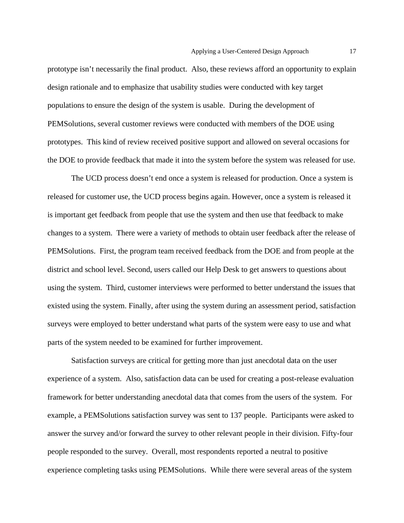prototype isn't necessarily the final product. Also, these reviews afford an opportunity to explain design rationale and to emphasize that usability studies were conducted with key target populations to ensure the design of the system is usable. During the development of PEMSolutions, several customer reviews were conducted with members of the DOE using prototypes. This kind of review received positive support and allowed on several occasions for the DOE to provide feedback that made it into the system before the system was released for use.

 The UCD process doesn't end once a system is released for production. Once a system is released for customer use, the UCD process begins again. However, once a system is released it is important get feedback from people that use the system and then use that feedback to make changes to a system. There were a variety of methods to obtain user feedback after the release of PEMSolutions. First, the program team received feedback from the DOE and from people at the district and school level. Second, users called our Help Desk to get answers to questions about using the system. Third, customer interviews were performed to better understand the issues that existed using the system. Finally, after using the system during an assessment period, satisfaction surveys were employed to better understand what parts of the system were easy to use and what parts of the system needed to be examined for further improvement.

Satisfaction surveys are critical for getting more than just anecdotal data on the user experience of a system. Also, satisfaction data can be used for creating a post-release evaluation framework for better understanding anecdotal data that comes from the users of the system. For example, a PEMSolutions satisfaction survey was sent to 137 people. Participants were asked to answer the survey and/or forward the survey to other relevant people in their division. Fifty-four people responded to the survey. Overall, most respondents reported a neutral to positive experience completing tasks using PEMSolutions. While there were several areas of the system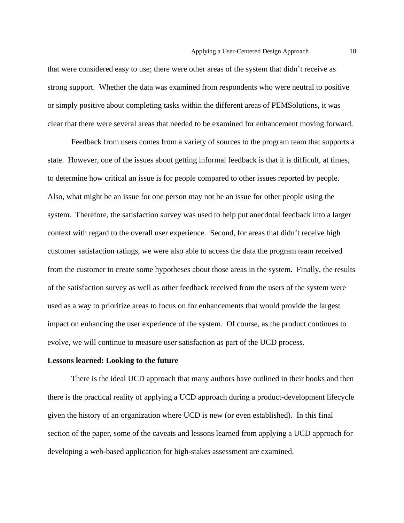that were considered easy to use; there were other areas of the system that didn't receive as strong support. Whether the data was examined from respondents who were neutral to positive or simply positive about completing tasks within the different areas of PEMSolutions, it was clear that there were several areas that needed to be examined for enhancement moving forward.

Feedback from users comes from a variety of sources to the program team that supports a state. However, one of the issues about getting informal feedback is that it is difficult, at times, to determine how critical an issue is for people compared to other issues reported by people. Also, what might be an issue for one person may not be an issue for other people using the system. Therefore, the satisfaction survey was used to help put anecdotal feedback into a larger context with regard to the overall user experience. Second, for areas that didn't receive high customer satisfaction ratings, we were also able to access the data the program team received from the customer to create some hypotheses about those areas in the system. Finally, the results of the satisfaction survey as well as other feedback received from the users of the system were used as a way to prioritize areas to focus on for enhancements that would provide the largest impact on enhancing the user experience of the system. Of course, as the product continues to evolve, we will continue to measure user satisfaction as part of the UCD process.

#### **Lessons learned: Looking to the future**

There is the ideal UCD approach that many authors have outlined in their books and then there is the practical reality of applying a UCD approach during a product-development lifecycle given the history of an organization where UCD is new (or even established). In this final section of the paper, some of the caveats and lessons learned from applying a UCD approach for developing a web-based application for high-stakes assessment are examined.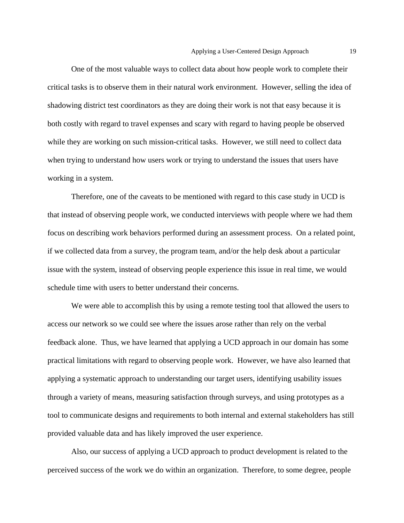One of the most valuable ways to collect data about how people work to complete their critical tasks is to observe them in their natural work environment. However, selling the idea of shadowing district test coordinators as they are doing their work is not that easy because it is both costly with regard to travel expenses and scary with regard to having people be observed while they are working on such mission-critical tasks. However, we still need to collect data when trying to understand how users work or trying to understand the issues that users have working in a system.

Therefore, one of the caveats to be mentioned with regard to this case study in UCD is that instead of observing people work, we conducted interviews with people where we had them focus on describing work behaviors performed during an assessment process. On a related point, if we collected data from a survey, the program team, and/or the help desk about a particular issue with the system, instead of observing people experience this issue in real time, we would schedule time with users to better understand their concerns.

We were able to accomplish this by using a remote testing tool that allowed the users to access our network so we could see where the issues arose rather than rely on the verbal feedback alone. Thus, we have learned that applying a UCD approach in our domain has some practical limitations with regard to observing people work. However, we have also learned that applying a systematic approach to understanding our target users, identifying usability issues through a variety of means, measuring satisfaction through surveys, and using prototypes as a tool to communicate designs and requirements to both internal and external stakeholders has still provided valuable data and has likely improved the user experience.

Also, our success of applying a UCD approach to product development is related to the perceived success of the work we do within an organization. Therefore, to some degree, people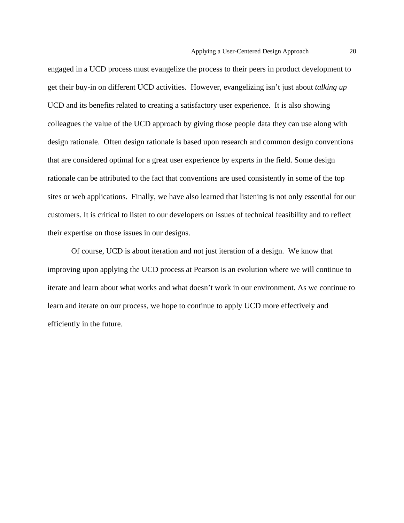engaged in a UCD process must evangelize the process to their peers in product development to get their buy-in on different UCD activities. However, evangelizing isn't just about *talking up* UCD and its benefits related to creating a satisfactory user experience. It is also showing colleagues the value of the UCD approach by giving those people data they can use along with design rationale. Often design rationale is based upon research and common design conventions that are considered optimal for a great user experience by experts in the field. Some design rationale can be attributed to the fact that conventions are used consistently in some of the top sites or web applications. Finally, we have also learned that listening is not only essential for our customers. It is critical to listen to our developers on issues of technical feasibility and to reflect their expertise on those issues in our designs.

Of course, UCD is about iteration and not just iteration of a design. We know that improving upon applying the UCD process at Pearson is an evolution where we will continue to iterate and learn about what works and what doesn't work in our environment. As we continue to learn and iterate on our process, we hope to continue to apply UCD more effectively and efficiently in the future.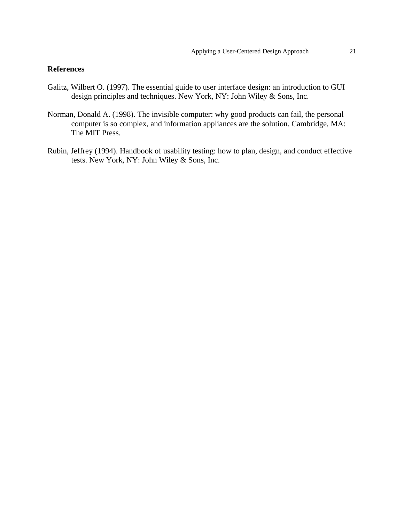#### **References**

- Galitz, Wilbert O. (1997). The essential guide to user interface design: an introduction to GUI design principles and techniques. New York, NY: John Wiley & Sons, Inc.
- Norman, Donald A. (1998). The invisible computer: why good products can fail, the personal computer is so complex, and information appliances are the solution. Cambridge, MA: The MIT Press.
- Rubin, Jeffrey (1994). Handbook of usability testing: how to plan, design, and conduct effective tests. New York, NY: John Wiley & Sons, Inc.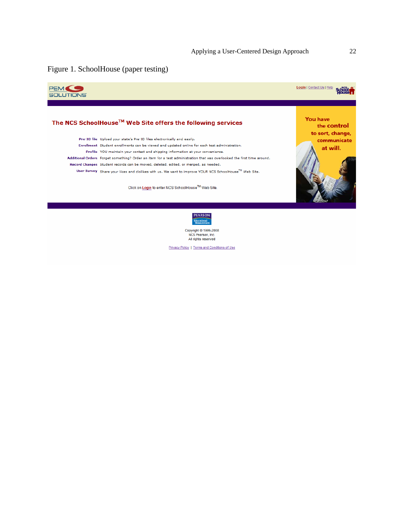### Figure 1. SchoolHouse (paper testing)



Privacy Policy | Terms and Conditions of Use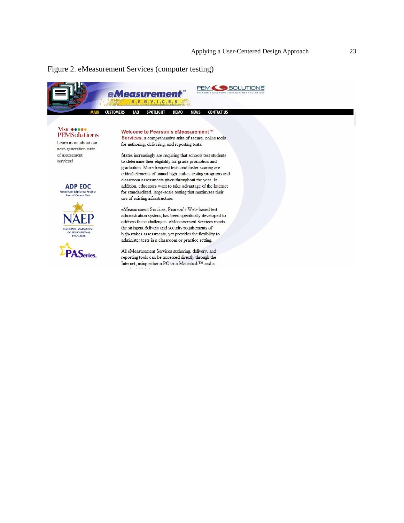#### Figure 2. eMeasurement Services (computer testing)

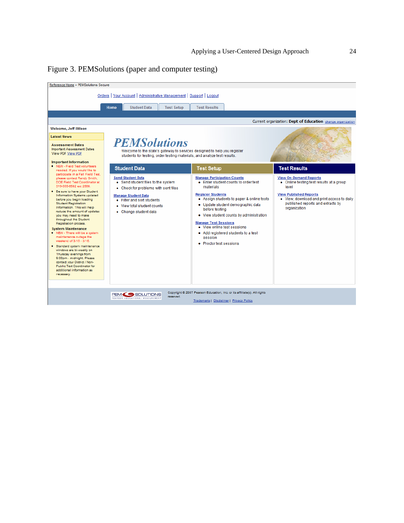

| Reference Home > PEMSolutions Secure                                                                                                                                                                                                                                                                                                                                                                                                                                                                                                                                                                                                                                                                                                                                                                                                                                                                                                      |                                                                                                                                                                             |                                                                                                                                                                                                                            |                   |                                                                                                                                                                                                   |                                                                                                                                                                                                          |                                                                                                                                                                                                                        |  |
|-------------------------------------------------------------------------------------------------------------------------------------------------------------------------------------------------------------------------------------------------------------------------------------------------------------------------------------------------------------------------------------------------------------------------------------------------------------------------------------------------------------------------------------------------------------------------------------------------------------------------------------------------------------------------------------------------------------------------------------------------------------------------------------------------------------------------------------------------------------------------------------------------------------------------------------------|-----------------------------------------------------------------------------------------------------------------------------------------------------------------------------|----------------------------------------------------------------------------------------------------------------------------------------------------------------------------------------------------------------------------|-------------------|---------------------------------------------------------------------------------------------------------------------------------------------------------------------------------------------------|----------------------------------------------------------------------------------------------------------------------------------------------------------------------------------------------------------|------------------------------------------------------------------------------------------------------------------------------------------------------------------------------------------------------------------------|--|
|                                                                                                                                                                                                                                                                                                                                                                                                                                                                                                                                                                                                                                                                                                                                                                                                                                                                                                                                           |                                                                                                                                                                             | Orders   Your Account   Administrative Management   Support   Logout                                                                                                                                                       |                   |                                                                                                                                                                                                   |                                                                                                                                                                                                          |                                                                                                                                                                                                                        |  |
|                                                                                                                                                                                                                                                                                                                                                                                                                                                                                                                                                                                                                                                                                                                                                                                                                                                                                                                                           | <b>Home</b>                                                                                                                                                                 | <b>Student Data</b>                                                                                                                                                                                                        | <b>Test Setup</b> | <b>Test Results</b>                                                                                                                                                                               |                                                                                                                                                                                                          |                                                                                                                                                                                                                        |  |
|                                                                                                                                                                                                                                                                                                                                                                                                                                                                                                                                                                                                                                                                                                                                                                                                                                                                                                                                           |                                                                                                                                                                             |                                                                                                                                                                                                                            |                   |                                                                                                                                                                                                   |                                                                                                                                                                                                          | Current organization: Dept of Education change organization                                                                                                                                                            |  |
| Welcome, Jeff Wilson                                                                                                                                                                                                                                                                                                                                                                                                                                                                                                                                                                                                                                                                                                                                                                                                                                                                                                                      |                                                                                                                                                                             |                                                                                                                                                                                                                            |                   |                                                                                                                                                                                                   |                                                                                                                                                                                                          |                                                                                                                                                                                                                        |  |
| <b>Latest News</b>                                                                                                                                                                                                                                                                                                                                                                                                                                                                                                                                                                                                                                                                                                                                                                                                                                                                                                                        |                                                                                                                                                                             |                                                                                                                                                                                                                            |                   |                                                                                                                                                                                                   |                                                                                                                                                                                                          |                                                                                                                                                                                                                        |  |
| <b>Assessment Dates</b><br><b>Important Assessment Dates</b><br>View PDF View PDF<br><b>Important Information</b><br>• NEW - Field Test volunteers<br>needed. If you would like to<br>participate in a Fall Field Test.<br>please contact Randy Smith,<br>DOE Field Test Coordinator at<br>319-555-6582 ext 2568.<br>• Be sure to have your Student<br>Information Systems updated<br>before you begin loading<br><b>Student Registration</b><br>Information. This will help<br>reduce the amount of updates<br>you may need to make<br>throughout the Student<br>Registration process.<br><b>System Maintenance</b><br>• NEW - There will be a system<br>maintenance outage the<br>weekend of 3/15 - 3/16.<br>· Standard system maintenance<br>windows are bi-weekly on<br>Thursday evenings from<br>9:00pm - midnight. Please<br>contact your District / Non-<br>Public Test Coordinator for<br>additional information as<br>necessary. | <b>PEMSolutions</b><br>Welcome to the state's gateway to services designed to help you register<br>students for testing, order testing materials, and analyze test results. |                                                                                                                                                                                                                            |                   |                                                                                                                                                                                                   |                                                                                                                                                                                                          |                                                                                                                                                                                                                        |  |
|                                                                                                                                                                                                                                                                                                                                                                                                                                                                                                                                                                                                                                                                                                                                                                                                                                                                                                                                           |                                                                                                                                                                             | <b>Student Data</b>                                                                                                                                                                                                        |                   | <b>Test Setup</b>                                                                                                                                                                                 |                                                                                                                                                                                                          | <b>Test Results</b>                                                                                                                                                                                                    |  |
|                                                                                                                                                                                                                                                                                                                                                                                                                                                                                                                                                                                                                                                                                                                                                                                                                                                                                                                                           |                                                                                                                                                                             | <b>Send Student Data</b><br>• Send student files to the system<br>• Check for problems with sent files<br><b>Manage Student Data</b><br>• Filter and sort students<br>• View total student counts<br>• Change student data |                   | <b>Manage Participation Counts</b><br>materials<br><b>Register Students</b><br>before testing<br><b>Manage Test Sessions</b><br>• View online test sessions<br>session<br>• Proctor test sessions | • Enter student counts to order test<br>• Assign students to paper & online tests<br>· Update student demographic data<br>• View student counts by administration<br>• Add registered students to a test | <b>View On-Demand Reports</b><br>• Online testing test results at a group<br>level<br><b>View Published Reports</b><br>. View, download and print access to daily<br>published reports and extracts by<br>organization |  |
| Copyright @ 2007 Pearson Education, Inc. or its affiliate(s). All rights<br><b>PEM SOLUTIONS</b><br>reserved.<br>PEARSON EDUCATIONAL MEASUREMENT<br>Trademarks   Disclaimer   Privacy Policy                                                                                                                                                                                                                                                                                                                                                                                                                                                                                                                                                                                                                                                                                                                                              |                                                                                                                                                                             |                                                                                                                                                                                                                            |                   |                                                                                                                                                                                                   |                                                                                                                                                                                                          |                                                                                                                                                                                                                        |  |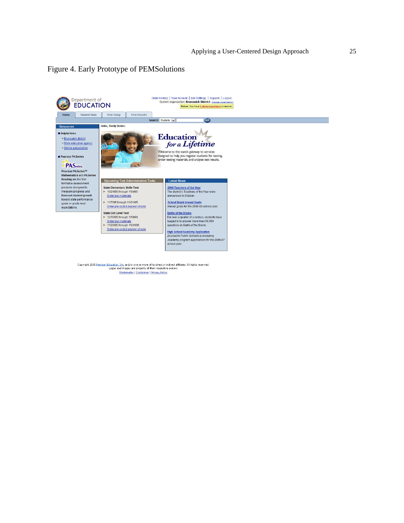#### Figure 4. Early Prototype of PEMSolutions



Copyright 2005 <u>Pearson Education, Inc.</u> and/or one or more of its direct or indirect affiliates. All rights reserved.<br>Logos and images are property of their respective owners<br>Trademarks | Disclaimer | Privacy Policy